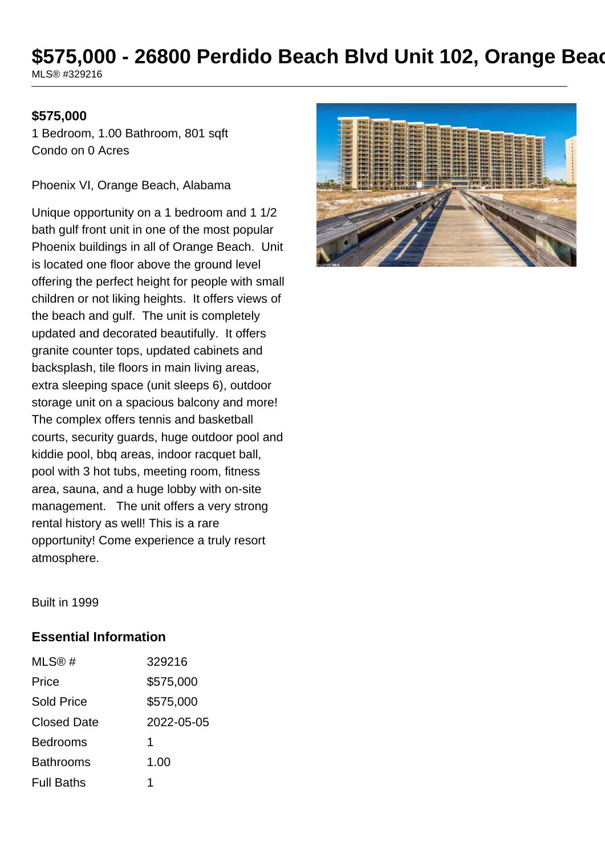# **\$575,000 - 26800 Perdido Beach Blvd Unit 102, Orange Beach**

MLS® #329216

#### **\$575,000**

1 Bedroom, 1.00 Bathroom, 801 sqft Condo on 0 Acres

Phoenix VI, Orange Beach, Alabama

Unique opportunity on a 1 bedroom and 1 1/2 bath gulf front unit in one of the most popular Phoenix buildings in all of Orange Beach. Unit is located one floor above the ground level offering the perfect height for people with small children or not liking heights. It offers views of the beach and gulf. The unit is completely updated and decorated beautifully. It offers granite counter tops, updated cabinets and backsplash, tile floors in main living areas, extra sleeping space (unit sleeps 6), outdoor storage unit on a spacious balcony and more! The complex offers tennis and basketball courts, security guards, huge outdoor pool and kiddie pool, bbq areas, indoor racquet ball, pool with 3 hot tubs, meeting room, fitness area, sauna, and a huge lobby with on-site management. The unit offers a very strong rental history as well! This is a rare opportunity! Come experience a truly resort atmosphere.



Built in 1999

#### **Essential Information**

| MLS@#              | 329216     |
|--------------------|------------|
| Price              | \$575,000  |
| Sold Price         | \$575,000  |
| <b>Closed Date</b> | 2022-05-05 |
| <b>Bedrooms</b>    | 1          |
| Bathrooms          | 1.00       |
| <b>Full Baths</b>  |            |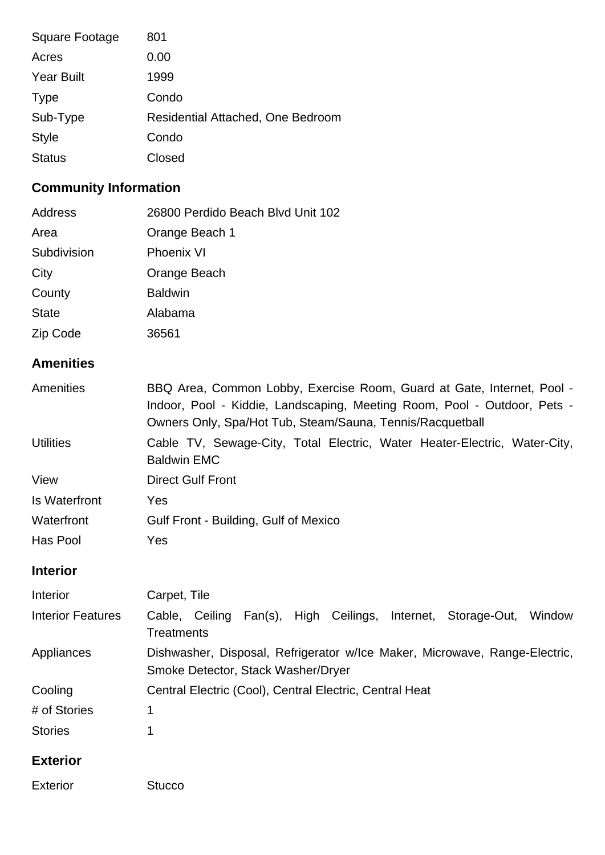| Square Footage    | 801                               |
|-------------------|-----------------------------------|
| Acres             | 0.00                              |
| <b>Year Built</b> | 1999                              |
| <b>Type</b>       | Condo                             |
| Sub-Type          | Residential Attached, One Bedroom |
| <b>Style</b>      | Condo                             |
| <b>Status</b>     | Closed                            |

# **Community Information**

| Address      | 26800 Perdido Beach Blvd Unit 102 |
|--------------|-----------------------------------|
| Area         | Orange Beach 1                    |
| Subdivision  | <b>Phoenix VI</b>                 |
| City         | Orange Beach                      |
| County       | <b>Baldwin</b>                    |
| <b>State</b> | Alabama                           |
| Zip Code     | 36561                             |

# **Amenities**

| Amenities            | BBQ Area, Common Lobby, Exercise Room, Guard at Gate, Internet, Pool -                          |  |  |
|----------------------|-------------------------------------------------------------------------------------------------|--|--|
|                      | Indoor, Pool - Kiddie, Landscaping, Meeting Room, Pool - Outdoor, Pets -                        |  |  |
|                      | Owners Only, Spa/Hot Tub, Steam/Sauna, Tennis/Racquetball                                       |  |  |
| <b>Utilities</b>     | Cable TV, Sewage-City, Total Electric, Water Heater-Electric, Water-City,<br><b>Baldwin EMC</b> |  |  |
| View                 | <b>Direct Gulf Front</b>                                                                        |  |  |
| <b>Is Waterfront</b> | Yes                                                                                             |  |  |
| Waterfront           | Gulf Front - Building, Gulf of Mexico                                                           |  |  |
| Has Pool             | Yes                                                                                             |  |  |

# **Interior**

| Interior                 | Carpet, Tile                                                                                                     |
|--------------------------|------------------------------------------------------------------------------------------------------------------|
| <b>Interior Features</b> | Fan(s), High Ceilings, Internet, Storage-Out,<br>Window<br>Cable, Ceiling<br>Treatments                          |
| Appliances               | Dishwasher, Disposal, Refrigerator w/Ice Maker, Microwave, Range-Electric,<br>Smoke Detector, Stack Washer/Dryer |
| Cooling                  | Central Electric (Cool), Central Electric, Central Heat                                                          |
| # of Stories             | 1                                                                                                                |
| <b>Stories</b>           |                                                                                                                  |

# **Exterior**

| <b>Exterior</b> | <b>Stucco</b> |
|-----------------|---------------|
|                 |               |